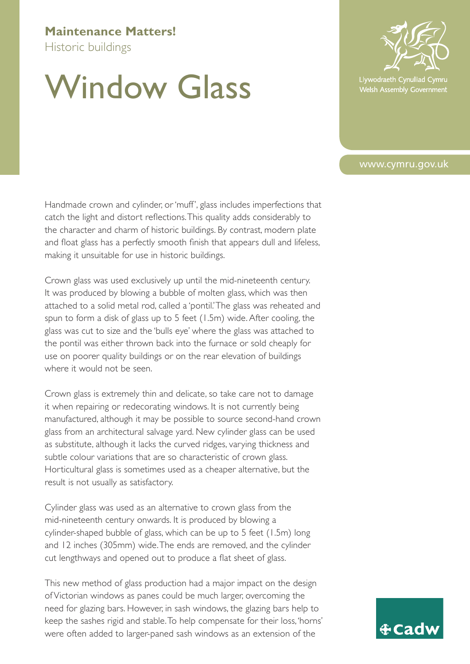## **Maintenance Matters!**

Historic buildings

## Window Glass

Handmade crown and cylinder, or 'muff ', glass includes imperfections that catch the light and distort reflections.This quality adds considerably to the character and charm of historic buildings. By contrast, modern plate and float glass has a perfectly smooth finish that appears dull and lifeless, making it unsuitable for use in historic buildings.

Crown glass was used exclusively up until the mid-nineteenth century. It was produced by blowing a bubble of molten glass, which was then attached to a solid metal rod, called a 'pontil.'The glass was reheated and spun to form a disk of glass up to 5 feet (1.5m) wide.After cooling, the glass was cut to size and the 'bulls eye' where the glass was attached to the pontil was either thrown back into the furnace or sold cheaply for use on poorer quality buildings or on the rear elevation of buildings where it would not be seen.

Crown glass is extremely thin and delicate, so take care not to damage it when repairing or redecorating windows. It is not currently being manufactured, although it may be possible to source second-hand crown glass from an architectural salvage yard. New cylinder glass can be used as substitute, although it lacks the curved ridges, varying thickness and subtle colour variations that are so characteristic of crown glass. Horticultural glass is sometimes used as a cheaper alternative, but the result is not usually as satisfactory.

Cylinder glass was used as an alternative to crown glass from the mid-nineteenth century onwards. It is produced by blowing a cylinder-shaped bubble of glass, which can be up to 5 feet (1.5m) long and 12 inches (305mm) wide.The ends are removed, and the cylinder cut lengthways and opened out to produce a flat sheet of glass.

This new method of glass production had a major impact on the design of Victorian windows as panes could be much larger, overcoming the need for glazing bars. However, in sash windows, the glazing bars help to keep the sashes rigid and stable.To help compensate for their loss, 'horns' were often added to larger-paned sash windows as an extension of the



Llywodraeth Cynulliad C Welsh Assembly Government

## www.cymru.gov.uk